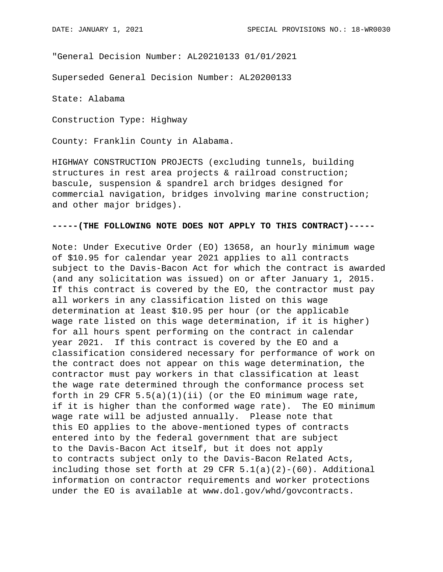"General Decision Number: AL20210133 01/01/2021

Superseded General Decision Number: AL20200133

State: Alabama

Construction Type: Highway

County: Franklin County in Alabama.

HIGHWAY CONSTRUCTION PROJECTS (excluding tunnels, building structures in rest area projects & railroad construction; bascule, suspension & spandrel arch bridges designed for commercial navigation, bridges involving marine construction; and other major bridges).

## **-----(THE FOLLOWING NOTE DOES NOT APPLY TO THIS CONTRACT)-----**

Note: Under Executive Order (EO) 13658, an hourly minimum wage of \$10.95 for calendar year 2021 applies to all contracts subject to the Davis-Bacon Act for which the contract is awarded (and any solicitation was issued) on or after January 1, 2015. If this contract is covered by the EO, the contractor must pay all workers in any classification listed on this wage determination at least \$10.95 per hour (or the applicable wage rate listed on this wage determination, if it is higher) for all hours spent performing on the contract in calendar year 2021. If this contract is covered by the EO and a classification considered necessary for performance of work on the contract does not appear on this wage determination, the contractor must pay workers in that classification at least the wage rate determined through the conformance process set forth in 29 CFR  $5.5(a)(1)(ii)$  (or the EO minimum wage rate, if it is higher than the conformed wage rate). The EO minimum wage rate will be adjusted annually. Please note that this EO applies to the above-mentioned types of contracts entered into by the federal government that are subject to the Davis-Bacon Act itself, but it does not apply to contracts subject only to the Davis-Bacon Related Acts, including those set forth at 29 CFR  $5.1(a)(2)-(60)$ . Additional information on contractor requirements and worker protections under the EO is available at www.dol.gov/whd/govcontracts.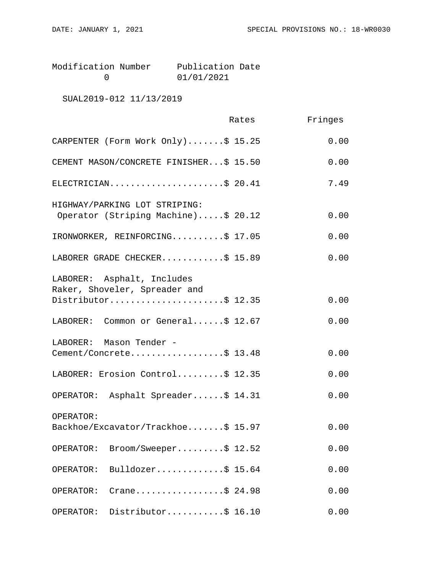| Modification Number | Publication Date |  |
|---------------------|------------------|--|
|                     | 01/01/2021       |  |

SUAL2019-012 11/13/2019

|                                                                      | Rates | Fringes |
|----------------------------------------------------------------------|-------|---------|
| CARPENTER (Form Work Only)\$ 15.25                                   |       | 0.00    |
| CEMENT MASON/CONCRETE FINISHER\$ 15.50                               |       | 0.00    |
| ELECTRICIAN\$ 20.41                                                  |       | 7.49    |
| HIGHWAY/PARKING LOT STRIPING:<br>Operator (Striping Machine)\$ 20.12 |       | 0.00    |
| IRONWORKER, REINFORCING\$ 17.05                                      |       | 0.00    |
| LABORER GRADE CHECKER\$ 15.89                                        |       | 0.00    |
| LABORER: Asphalt, Includes<br>Raker, Shoveler, Spreader and          |       |         |
| Distributor\$ 12.35                                                  |       | 0.00    |
| LABORER: Common or General\$ 12.67                                   |       | 0.00    |
| LABORER: Mason Tender -<br>Cement/Concrete\$ 13.48                   |       | 0.00    |
| LABORER: Erosion Control\$ 12.35                                     |       | 0.00    |
| OPERATOR: Asphalt Spreader\$ 14.31                                   |       | 0.00    |
| OPERATOR:<br>Backhoe/Excavator/Trackhoe\$ 15.97                      |       | 0.00    |
| Broom/Sweeper\$ 12.52<br>OPERATOR:                                   |       | 0.00    |
| Bulldozer\$ 15.64<br>OPERATOR:                                       |       | 0.00    |
| Crane\$ 24.98<br>OPERATOR:                                           |       | 0.00    |
| Distributor\$ 16.10<br>OPERATOR:                                     |       | 0.00    |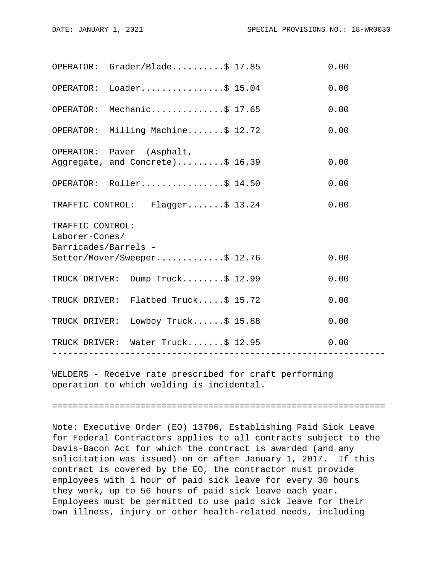| OPERATOR: Grader/Blade                                                                     |                  |  | 0.00 |  |  |
|--------------------------------------------------------------------------------------------|------------------|--|------|--|--|
| OPERATOR: Loader\$ 15.04                                                                   |                  |  | 0.00 |  |  |
| OPERATOR: Mechanic\$ 17.65                                                                 |                  |  | 0.00 |  |  |
| OPERATOR: Milling Machine\$ 12.72                                                          |                  |  | 0.00 |  |  |
| OPERATOR: Paver (Asphalt,<br>Aggregate, and Concrete)\$ 16.39                              |                  |  | 0.00 |  |  |
| OPERATOR: Roller\$ 14.50                                                                   |                  |  | 0.00 |  |  |
| TRAFFIC CONTROL: Flagger\$ 13.24                                                           |                  |  | 0.00 |  |  |
| TRAFFIC CONTROL:<br>Laborer-Cones/<br>Barricades/Barrels -<br>Setter/Mover/Sweeper\$ 12.76 |                  |  |      |  |  |
|                                                                                            |                  |  | 0.00 |  |  |
| TRUCK DRIVER: Dump Truck\$ 12.99                                                           |                  |  | 0.00 |  |  |
| TRUCK DRIVER: Flatbed Truck\$ 15.72                                                        |                  |  | 0.00 |  |  |
| TRUCK DRIVER: Lowboy Truck\$ 15.88                                                         |                  |  | 0.00 |  |  |
| TRUCK DRIVER: Water Truck\$ 12.95                                                          | ---------------- |  | 0.00 |  |  |
|                                                                                            |                  |  |      |  |  |

WELDERS - Receive rate prescribed for craft performing operation to which welding is incidental.

================================================================

Note: Executive Order (EO) 13706, Establishing Paid Sick Leave for Federal Contractors applies to all contracts subject to the Davis-Bacon Act for which the contract is awarded (and any solicitation was issued) on or after January 1, 2017. If this contract is covered by the EO, the contractor must provide employees with 1 hour of paid sick leave for every 30 hours they work, up to 56 hours of paid sick leave each year. Employees must be permitted to use paid sick leave for their own illness, injury or other health-related needs, including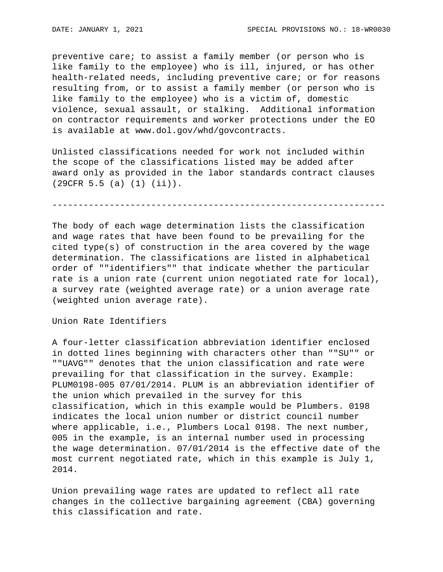preventive care; to assist a family member (or person who is like family to the employee) who is ill, injured, or has other health-related needs, including preventive care; or for reasons resulting from, or to assist a family member (or person who is like family to the employee) who is a victim of, domestic violence, sexual assault, or stalking. Additional information on contractor requirements and worker protections under the EO is available at www.dol.gov/whd/govcontracts.

Unlisted classifications needed for work not included within the scope of the classifications listed may be added after award only as provided in the labor standards contract clauses (29CFR 5.5 (a) (1) (ii)).

----------------------------------------------------------------

The body of each wage determination lists the classification and wage rates that have been found to be prevailing for the cited type(s) of construction in the area covered by the wage determination. The classifications are listed in alphabetical order of ""identifiers"" that indicate whether the particular rate is a union rate (current union negotiated rate for local), a survey rate (weighted average rate) or a union average rate (weighted union average rate).

Union Rate Identifiers

A four-letter classification abbreviation identifier enclosed in dotted lines beginning with characters other than ""SU"" or ""UAVG"" denotes that the union classification and rate were prevailing for that classification in the survey. Example: PLUM0198-005 07/01/2014. PLUM is an abbreviation identifier of the union which prevailed in the survey for this classification, which in this example would be Plumbers. 0198 indicates the local union number or district council number where applicable, i.e., Plumbers Local 0198. The next number, 005 in the example, is an internal number used in processing the wage determination. 07/01/2014 is the effective date of the most current negotiated rate, which in this example is July 1, 2014.

Union prevailing wage rates are updated to reflect all rate changes in the collective bargaining agreement (CBA) governing this classification and rate.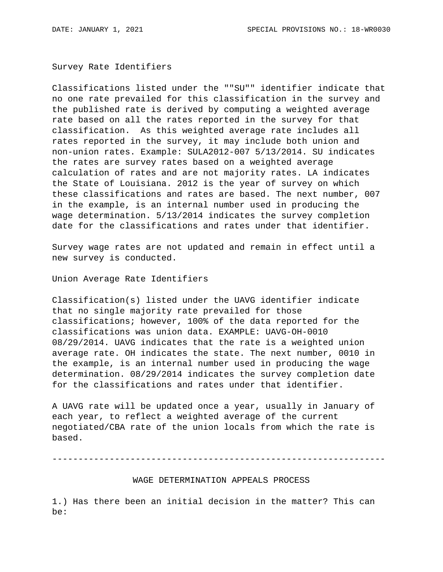Survey Rate Identifiers

Classifications listed under the ""SU"" identifier indicate that no one rate prevailed for this classification in the survey and the published rate is derived by computing a weighted average rate based on all the rates reported in the survey for that classification. As this weighted average rate includes all rates reported in the survey, it may include both union and non-union rates. Example: SULA2012-007 5/13/2014. SU indicates the rates are survey rates based on a weighted average calculation of rates and are not majority rates. LA indicates the State of Louisiana. 2012 is the year of survey on which these classifications and rates are based. The next number, 007 in the example, is an internal number used in producing the wage determination. 5/13/2014 indicates the survey completion date for the classifications and rates under that identifier.

Survey wage rates are not updated and remain in effect until a new survey is conducted.

Union Average Rate Identifiers

Classification(s) listed under the UAVG identifier indicate that no single majority rate prevailed for those classifications; however, 100% of the data reported for the classifications was union data. EXAMPLE: UAVG-OH-0010 08/29/2014. UAVG indicates that the rate is a weighted union average rate. OH indicates the state. The next number, 0010 in the example, is an internal number used in producing the wage determination. 08/29/2014 indicates the survey completion date for the classifications and rates under that identifier.

A UAVG rate will be updated once a year, usually in January of each year, to reflect a weighted average of the current negotiated/CBA rate of the union locals from which the rate is based.

----------------------------------------------------------------

WAGE DETERMINATION APPEALS PROCESS

1.) Has there been an initial decision in the matter? This can be: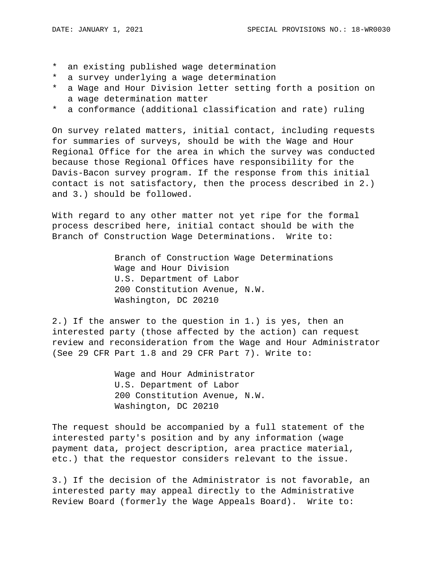- \* an existing published wage determination
- \* a survey underlying a wage determination
- \* a Wage and Hour Division letter setting forth a position on a wage determination matter
- \* a conformance (additional classification and rate) ruling

On survey related matters, initial contact, including requests for summaries of surveys, should be with the Wage and Hour Regional Office for the area in which the survey was conducted because those Regional Offices have responsibility for the Davis-Bacon survey program. If the response from this initial contact is not satisfactory, then the process described in 2.) and 3.) should be followed.

With regard to any other matter not yet ripe for the formal process described here, initial contact should be with the Branch of Construction Wage Determinations. Write to:

> Branch of Construction Wage Determinations Wage and Hour Division U.S. Department of Labor 200 Constitution Avenue, N.W. Washington, DC 20210

2.) If the answer to the question in 1.) is yes, then an interested party (those affected by the action) can request review and reconsideration from the Wage and Hour Administrator (See 29 CFR Part 1.8 and 29 CFR Part 7). Write to:

> Wage and Hour Administrator U.S. Department of Labor 200 Constitution Avenue, N.W. Washington, DC 20210

The request should be accompanied by a full statement of the interested party's position and by any information (wage payment data, project description, area practice material, etc.) that the requestor considers relevant to the issue.

3.) If the decision of the Administrator is not favorable, an interested party may appeal directly to the Administrative Review Board (formerly the Wage Appeals Board). Write to: